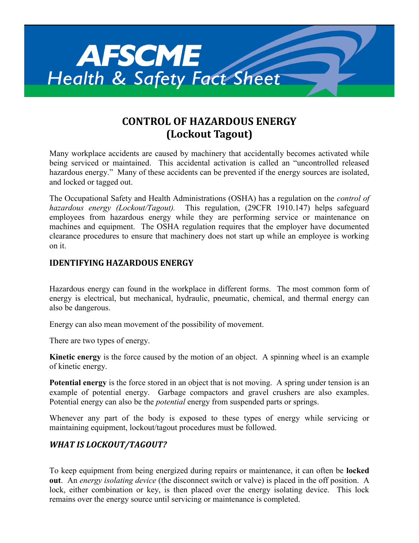

# **CONTROL OF HAZARDOUS ENERGY (Lockout Tagout)**

Many workplace accidents are caused by machinery that accidentally becomes activated while being serviced or maintained. This accidental activation is called an "uncontrolled released hazardous energy." Many of these accidents can be prevented if the energy sources are isolated, and locked or tagged out.

The Occupational Safety and Health Administrations (OSHA) has a regulation on the *control of hazardous energy (Lockout/Tagout).* This regulation, (29CFR 1910.147) helps safeguard employees from hazardous energy while they are performing service or maintenance on machines and equipment. The OSHA regulation requires that the employer have documented clearance procedures to ensure that machinery does not start up while an employee is working on it.

# **IDENTIFYING HAZARDOUS ENERGY**

Hazardous energy can found in the workplace in different forms. The most common form of energy is electrical, but mechanical, hydraulic, pneumatic, chemical, and thermal energy can also be dangerous.

Energy can also mean movement of the possibility of movement.

There are two types of energy.

**Kinetic energy** is the force caused by the motion of an object. A spinning wheel is an example of kinetic energy.

**Potential energy** is the force stored in an object that is not moving. A spring under tension is an example of potential energy. Garbage compactors and gravel crushers are also examples. Potential energy can also be the *potential* energy from suspended parts or springs.

Whenever any part of the body is exposed to these types of energy while servicing or maintaining equipment, lockout/tagout procedures must be followed.

# *WHAT IS LOCKOUT/TAGOUT?*

To keep equipment from being energized during repairs or maintenance, it can often be **locked out**. An *energy isolating device* (the disconnect switch or valve) is placed in the off position. A lock, either combination or key, is then placed over the energy isolating device. This lock remains over the energy source until servicing or maintenance is completed.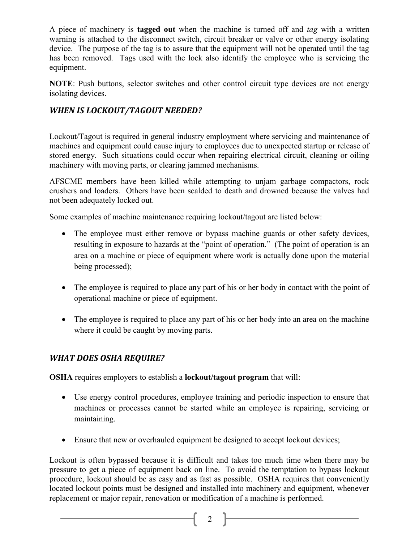A piece of machinery is **tagged out** when the machine is turned off and *tag* with a written warning is attached to the disconnect switch, circuit breaker or valve or other energy isolating device. The purpose of the tag is to assure that the equipment will not be operated until the tag has been removed. Tags used with the lock also identify the employee who is servicing the equipment.

**NOTE**: Push buttons, selector switches and other control circuit type devices are not energy isolating devices.

# *WHEN IS LOCKOUT/TAGOUT NEEDED?*

Lockout/Tagout is required in general industry employment where servicing and maintenance of machines and equipment could cause injury to employees due to unexpected startup or release of stored energy. Such situations could occur when repairing electrical circuit, cleaning or oiling machinery with moving parts, or clearing jammed mechanisms.

AFSCME members have been killed while attempting to unjam garbage compactors, rock crushers and loaders. Others have been scalded to death and drowned because the valves had not been adequately locked out.

Some examples of machine maintenance requiring lockout/tagout are listed below:

- The employee must either remove or bypass machine guards or other safety devices, resulting in exposure to hazards at the "point of operation." (The point of operation is an area on a machine or piece of equipment where work is actually done upon the material being processed);
- The employee is required to place any part of his or her body in contact with the point of operational machine or piece of equipment.
- The employee is required to place any part of his or her body into an area on the machine where it could be caught by moving parts.

# *WHAT DOES OSHA REQUIRE?*

**OSHA** requires employers to establish a **lockout/tagout program** that will:

- Use energy control procedures, employee training and periodic inspection to ensure that machines or processes cannot be started while an employee is repairing, servicing or maintaining.
- Ensure that new or overhauled equipment be designed to accept lockout devices;

Lockout is often bypassed because it is difficult and takes too much time when there may be pressure to get a piece of equipment back on line. To avoid the temptation to bypass lockout procedure, lockout should be as easy and as fast as possible. OSHA requires that conveniently located lockout points must be designed and installed into machinery and equipment, whenever replacement or major repair, renovation or modification of a machine is performed.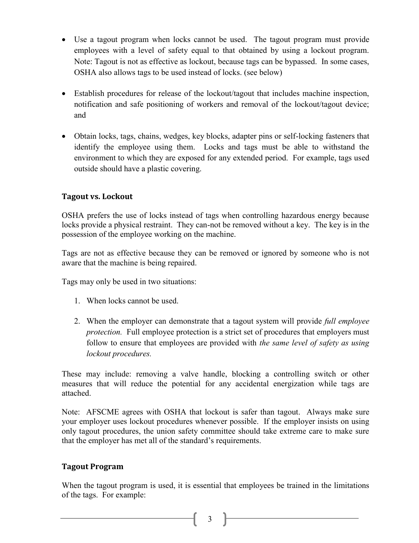- Use a tagout program when locks cannot be used. The tagout program must provide employees with a level of safety equal to that obtained by using a lockout program. Note: Tagout is not as effective as lockout, because tags can be bypassed. In some cases, OSHA also allows tags to be used instead of locks. (see below)
- Establish procedures for release of the lockout/tagout that includes machine inspection, notification and safe positioning of workers and removal of the lockout/tagout device; and
- Obtain locks, tags, chains, wedges, key blocks, adapter pins or self-locking fasteners that identify the employee using them. Locks and tags must be able to withstand the environment to which they are exposed for any extended period. For example, tags used outside should have a plastic covering.

# **Tagout vs. Lockout**

OSHA prefers the use of locks instead of tags when controlling hazardous energy because locks provide a physical restraint. They can-not be removed without a key. The key is in the possession of the employee working on the machine.

Tags are not as effective because they can be removed or ignored by someone who is not aware that the machine is being repaired.

Tags may only be used in two situations:

- 1. When locks cannot be used.
- 2. When the employer can demonstrate that a tagout system will provide *full employee protection.* Full employee protection is a strict set of procedures that employers must follow to ensure that employees are provided with *the same level of safety as using lockout procedures.*

These may include: removing a valve handle, blocking a controlling switch or other measures that will reduce the potential for any accidental energization while tags are attached.

Note: AFSCME agrees with OSHA that lockout is safer than tagout. Always make sure your employer uses lockout procedures whenever possible. If the employer insists on using only tagout procedures, the union safety committee should take extreme care to make sure that the employer has met all of the standard's requirements.

#### **Tagout Program**

When the tagout program is used, it is essential that employees be trained in the limitations of the tags. For example:

3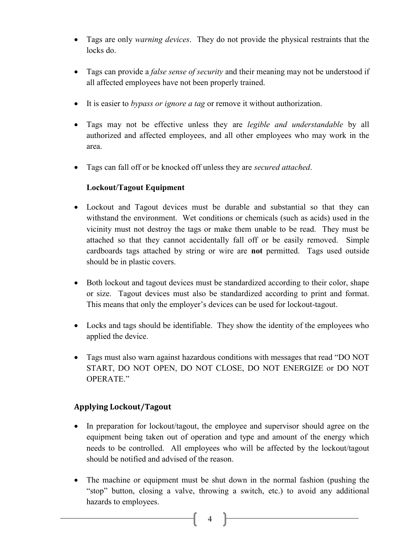- Tags are only *warning devices*. They do not provide the physical restraints that the locks do.
- Tags can provide a *false sense of security* and their meaning may not be understood if all affected employees have not been properly trained.
- It is easier to *bypass or ignore a tag* or remove it without authorization.
- Tags may not be effective unless they are *legible and understandable* by all authorized and affected employees, and all other employees who may work in the area.
- Tags can fall off or be knocked off unless they are *secured attached*.

# **Lockout/Tagout Equipment**

- Lockout and Tagout devices must be durable and substantial so that they can withstand the environment. Wet conditions or chemicals (such as acids) used in the vicinity must not destroy the tags or make them unable to be read. They must be attached so that they cannot accidentally fall off or be easily removed. Simple cardboards tags attached by string or wire are **not** permitted. Tags used outside should be in plastic covers.
- Both lockout and tagout devices must be standardized according to their color, shape or size. Tagout devices must also be standardized according to print and format. This means that only the employer's devices can be used for lockout-tagout.
- Locks and tags should be identifiable. They show the identity of the employees who applied the device.
- Tags must also warn against hazardous conditions with messages that read "DO NOT START, DO NOT OPEN, DO NOT CLOSE, DO NOT ENERGIZE or DO NOT OPERATE."

#### **Applying Lockout/Tagout**

- In preparation for lockout/tagout, the employee and supervisor should agree on the equipment being taken out of operation and type and amount of the energy which needs to be controlled. All employees who will be affected by the lockout/tagout should be notified and advised of the reason.
- The machine or equipment must be shut down in the normal fashion (pushing the "stop" button, closing a valve, throwing a switch, etc.) to avoid any additional hazards to employees.

4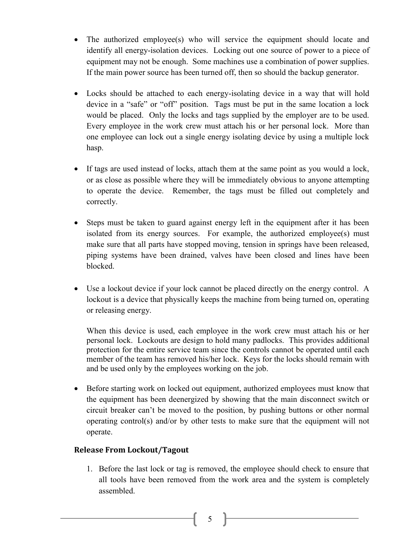- The authorized employee(s) who will service the equipment should locate and identify all energy-isolation devices. Locking out one source of power to a piece of equipment may not be enough. Some machines use a combination of power supplies. If the main power source has been turned off, then so should the backup generator.
- Locks should be attached to each energy-isolating device in a way that will hold device in a "safe" or "off" position. Tags must be put in the same location a lock would be placed. Only the locks and tags supplied by the employer are to be used. Every employee in the work crew must attach his or her personal lock. More than one employee can lock out a single energy isolating device by using a multiple lock hasp.
- If tags are used instead of locks, attach them at the same point as you would a lock, or as close as possible where they will be immediately obvious to anyone attempting to operate the device. Remember, the tags must be filled out completely and correctly.
- Steps must be taken to guard against energy left in the equipment after it has been isolated from its energy sources. For example, the authorized employee(s) must make sure that all parts have stopped moving, tension in springs have been released, piping systems have been drained, valves have been closed and lines have been blocked.
- Use a lockout device if your lock cannot be placed directly on the energy control. A lockout is a device that physically keeps the machine from being turned on, operating or releasing energy.

When this device is used, each employee in the work crew must attach his or her personal lock. Lockouts are design to hold many padlocks. This provides additional protection for the entire service team since the controls cannot be operated until each member of the team has removed his/her lock. Keys for the locks should remain with and be used only by the employees working on the job.

 Before starting work on locked out equipment, authorized employees must know that the equipment has been deenergized by showing that the main disconnect switch or circuit breaker can't be moved to the position, by pushing buttons or other normal operating control(s) and/or by other tests to make sure that the equipment will not operate.

# **Release From Lockout/Tagout**

1. Before the last lock or tag is removed, the employee should check to ensure that all tools have been removed from the work area and the system is completely assembled.

5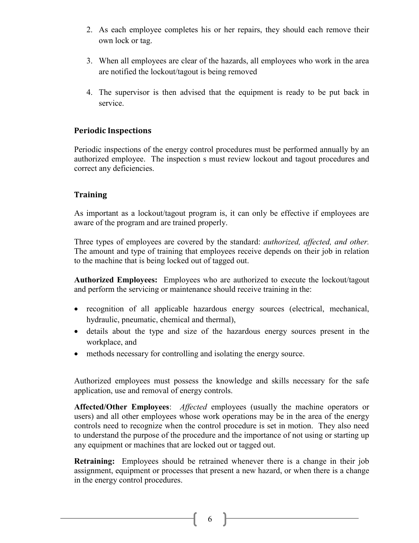- 2. As each employee completes his or her repairs, they should each remove their own lock or tag.
- 3. When all employees are clear of the hazards, all employees who work in the area are notified the lockout/tagout is being removed
- 4. The supervisor is then advised that the equipment is ready to be put back in service.

# **Periodic Inspections**

Periodic inspections of the energy control procedures must be performed annually by an authorized employee. The inspection s must review lockout and tagout procedures and correct any deficiencies.

# **Training**

As important as a lockout/tagout program is, it can only be effective if employees are aware of the program and are trained properly.

Three types of employees are covered by the standard: *authorized, affected, and other.* The amount and type of training that employees receive depends on their job in relation to the machine that is being locked out of tagged out.

**Authorized Employees:** Employees who are authorized to execute the lockout/tagout and perform the servicing or maintenance should receive training in the:

- recognition of all applicable hazardous energy sources (electrical, mechanical, hydraulic, pneumatic, chemical and thermal),
- details about the type and size of the hazardous energy sources present in the workplace, and
- methods necessary for controlling and isolating the energy source.

Authorized employees must possess the knowledge and skills necessary for the safe application, use and removal of energy controls.

**Affected/Other Employees**: *Affected* employees (usually the machine operators or users) and all other employees whose work operations may be in the area of the energy controls need to recognize when the control procedure is set in motion. They also need to understand the purpose of the procedure and the importance of not using or starting up any equipment or machines that are locked out or tagged out.

**Retraining:** Employees should be retrained whenever there is a change in their job assignment, equipment or processes that present a new hazard, or when there is a change in the energy control procedures.

 $6 \quad \}$